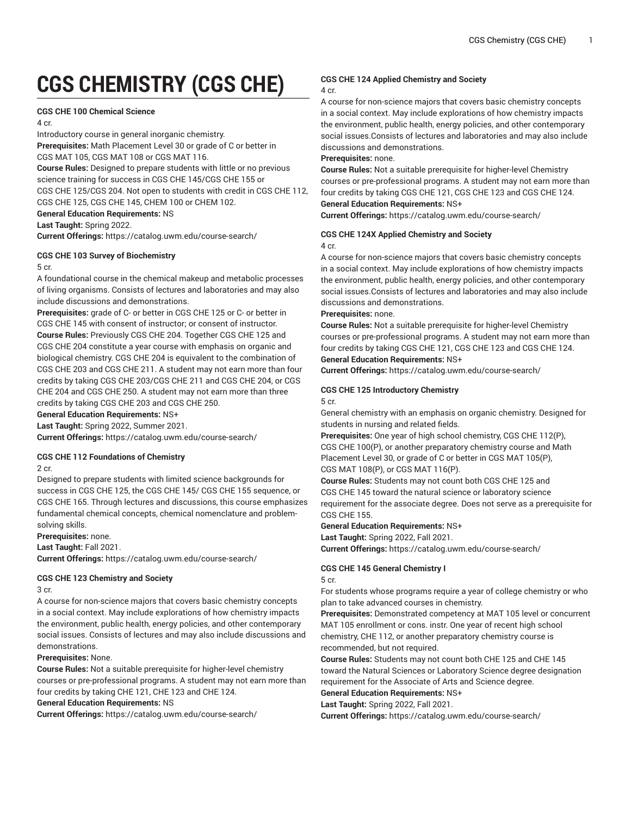# **CGS CHEMISTRY (CGS CHE)**

# **CGS CHE 100 Chemical Science**

4 cr.

Introductory course in general inorganic chemistry. **Prerequisites:** Math Placement Level 30 or grade of C or better in CGS MAT 105, CGS MAT 108 or CGS MAT 116. **Course Rules:** Designed to prepare students with little or no previous science training for success in CGS CHE 145/CGS CHE 155 or CGS CHE 125/CGS 204. Not open to students with credit in CGS CHE 112, CGS CHE 125, CGS CHE 145, CHEM 100 or CHEM 102. **General Education Requirements:** NS **Last Taught:** Spring 2022.

**Current Offerings:** <https://catalog.uwm.edu/course-search/>

# **CGS CHE 103 Survey of Biochemistry**

#### 5 cr.

A foundational course in the chemical makeup and metabolic processes of living organisms. Consists of lectures and laboratories and may also include discussions and demonstrations.

**Prerequisites:** grade of C- or better in CGS CHE 125 or C- or better in CGS CHE 145 with consent of instructor; or consent of instructor. **Course Rules:** Previously CGS CHE 204. Together CGS CHE 125 and CGS CHE 204 constitute a year course with emphasis on organic and biological chemistry. CGS CHE 204 is equivalent to the combination of CGS CHE 203 and CGS CHE 211. A student may not earn more than four credits by taking CGS CHE 203/CGS CHE 211 and CGS CHE 204, or CGS CHE 204 and CGS CHE 250. A student may not earn more than three credits by taking CGS CHE 203 and CGS CHE 250.

**General Education Requirements:** NS+

**Last Taught:** Spring 2022, Summer 2021.

**Current Offerings:** <https://catalog.uwm.edu/course-search/>

# **CGS CHE 112 Foundations of Chemistry**

2 cr.

Designed to prepare students with limited science backgrounds for success in CGS CHE 125, the CGS CHE 145/ CGS CHE 155 sequence, or CGS CHE 165. Through lectures and discussions, this course emphasizes fundamental chemical concepts, chemical nomenclature and problemsolving skills.

**Prerequisites:** none.

**Last Taught:** Fall 2021.

**Current Offerings:** <https://catalog.uwm.edu/course-search/>

# **CGS CHE 123 Chemistry and Society**

3 cr.

A course for non-science majors that covers basic chemistry concepts in a social context. May include explorations of how chemistry impacts the environment, public health, energy policies, and other contemporary social issues. Consists of lectures and may also include discussions and demonstrations.

# **Prerequisites:** None.

**Course Rules:** Not a suitable prerequisite for higher-level chemistry courses or pre-professional programs. A student may not earn more than four credits by taking CHE 121, CHE 123 and CHE 124.

**General Education Requirements:** NS

**Current Offerings:** <https://catalog.uwm.edu/course-search/>

# **CGS CHE 124 Applied Chemistry and Society**

#### 4 cr.

A course for non-science majors that covers basic chemistry concepts in a social context. May include explorations of how chemistry impacts the environment, public health, energy policies, and other contemporary social issues.Consists of lectures and laboratories and may also include discussions and demonstrations.

# **Prerequisites:** none.

**Course Rules:** Not a suitable prerequisite for higher-level Chemistry courses or pre-professional programs. A student may not earn more than four credits by taking CGS CHE 121, CGS CHE 123 and CGS CHE 124. **General Education Requirements:** NS+

**Current Offerings:** <https://catalog.uwm.edu/course-search/>

# **CGS CHE 124X Applied Chemistry and Society**

4 cr.

A course for non-science majors that covers basic chemistry concepts in a social context. May include explorations of how chemistry impacts the environment, public health, energy policies, and other contemporary social issues.Consists of lectures and laboratories and may also include discussions and demonstrations.

#### **Prerequisites:** none.

**Course Rules:** Not a suitable prerequisite for higher-level Chemistry courses or pre-professional programs. A student may not earn more than four credits by taking CGS CHE 121, CGS CHE 123 and CGS CHE 124. **General Education Requirements:** NS+

**Current Offerings:** <https://catalog.uwm.edu/course-search/>

# **CGS CHE 125 Introductory Chemistry**

5 cr.

General chemistry with an emphasis on organic chemistry. Designed for students in nursing and related fields.

**Prerequisites:** One year of high school chemistry, CGS CHE 112(P), CGS CHE 100(P), or another preparatory chemistry course and Math Placement Level 30, or grade of C or better in CGS MAT 105(P), CGS MAT 108(P), or CGS MAT 116(P).

**Course Rules:** Students may not count both CGS CHE 125 and CGS CHE 145 toward the natural science or laboratory science requirement for the associate degree. Does not serve as a prerequisite for CGS CHE 155.

# **General Education Requirements:** NS+

**Last Taught:** Spring 2022, Fall 2021.

**Current Offerings:** <https://catalog.uwm.edu/course-search/>

# **CGS CHE 145 General Chemistry I**

5 cr.

For students whose programs require a year of college chemistry or who plan to take advanced courses in chemistry.

**Prerequisites:** Demonstrated competency at MAT 105 level or concurrent MAT 105 enrollment or cons. instr. One year of recent high school chemistry, CHE 112, or another preparatory chemistry course is recommended, but not required.

**Course Rules:** Students may not count both CHE 125 and CHE 145 toward the Natural Sciences or Laboratory Science degree designation requirement for the Associate of Arts and Science degree. **General Education Requirements:** NS+

**Last Taught:** Spring 2022, Fall 2021.

**Current Offerings:** <https://catalog.uwm.edu/course-search/>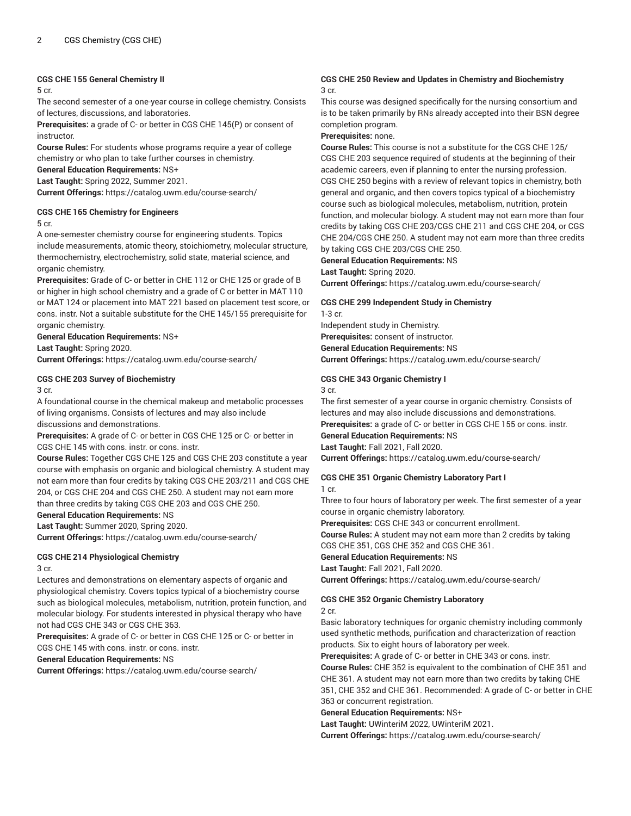# **CGS CHE 155 General Chemistry II**

5 cr.

The second semester of a one-year course in college chemistry. Consists of lectures, discussions, and laboratories.

**Prerequisites:** a grade of C- or better in CGS CHE 145(P) or consent of instructor.

**Course Rules:** For students whose programs require a year of college chemistry or who plan to take further courses in chemistry.

**General Education Requirements:** NS+

**Last Taught:** Spring 2022, Summer 2021.

**Current Offerings:** <https://catalog.uwm.edu/course-search/>

#### **CGS CHE 165 Chemistry for Engineers**

5 cr.

A one-semester chemistry course for engineering students. Topics include measurements, atomic theory, stoichiometry, molecular structure, thermochemistry, electrochemistry, solid state, material science, and organic chemistry.

**Prerequisites:** Grade of C- or better in CHE 112 or CHE 125 or grade of B or higher in high school chemistry and a grade of C or better in MAT 110 or MAT 124 or placement into MAT 221 based on placement test score, or cons. instr. Not a suitable substitute for the CHE 145/155 prerequisite for organic chemistry.

**General Education Requirements:** NS+ **Last Taught:** Spring 2020.

**Current Offerings:** <https://catalog.uwm.edu/course-search/>

# **CGS CHE 203 Survey of Biochemistry**

3 cr.

A foundational course in the chemical makeup and metabolic processes of living organisms. Consists of lectures and may also include discussions and demonstrations.

**Prerequisites:** A grade of C- or better in CGS CHE 125 or C- or better in CGS CHE 145 with cons. instr. or cons. instr.

**Course Rules:** Together CGS CHE 125 and CGS CHE 203 constitute a year course with emphasis on organic and biological chemistry. A student may not earn more than four credits by taking CGS CHE 203/211 and CGS CHE 204, or CGS CHE 204 and CGS CHE 250. A student may not earn more than three credits by taking CGS CHE 203 and CGS CHE 250.

**General Education Requirements:** NS

**Last Taught:** Summer 2020, Spring 2020.

**Current Offerings:** <https://catalog.uwm.edu/course-search/>

# **CGS CHE 214 Physiological Chemistry**

3 cr.

Lectures and demonstrations on elementary aspects of organic and physiological chemistry. Covers topics typical of a biochemistry course such as biological molecules, metabolism, nutrition, protein function, and molecular biology. For students interested in physical therapy who have not had CGS CHE 343 or CGS CHE 363.

**Prerequisites:** A grade of C- or better in CGS CHE 125 or C- or better in CGS CHE 145 with cons. instr. or cons. instr.

# **General Education Requirements:** NS

**Current Offerings:** <https://catalog.uwm.edu/course-search/>

# **CGS CHE 250 Review and Updates in Chemistry and Biochemistry** 3 cr.

This course was designed specifically for the nursing consortium and is to be taken primarily by RNs already accepted into their BSN degree completion program.

# **Prerequisites:** none.

**Course Rules:** This course is not a substitute for the CGS CHE 125/ CGS CHE 203 sequence required of students at the beginning of their academic careers, even if planning to enter the nursing profession. CGS CHE 250 begins with a review of relevant topics in chemistry, both general and organic, and then covers topics typical of a biochemistry course such as biological molecules, metabolism, nutrition, protein function, and molecular biology. A student may not earn more than four credits by taking CGS CHE 203/CGS CHE 211 and CGS CHE 204, or CGS CHE 204/CGS CHE 250. A student may not earn more than three credits by taking CGS CHE 203/CGS CHE 250.

**General Education Requirements:** NS

# **Last Taught:** Spring 2020.

**Current Offerings:** <https://catalog.uwm.edu/course-search/>

# **CGS CHE 299 Independent Study in Chemistry**

1-3 cr.

Independent study in Chemistry.

**Prerequisites:** consent of instructor.

**General Education Requirements:** NS

**Current Offerings:** <https://catalog.uwm.edu/course-search/>

# **CGS CHE 343 Organic Chemistry I**

3 cr.

The first semester of a year course in organic chemistry. Consists of lectures and may also include discussions and demonstrations. **Prerequisites:** a grade of C- or better in CGS CHE 155 or cons. instr.

**General Education Requirements:** NS

**Last Taught:** Fall 2021, Fall 2020.

**Current Offerings:** <https://catalog.uwm.edu/course-search/>

# **CGS CHE 351 Organic Chemistry Laboratory Part I** 1 cr.

Three to four hours of laboratory per week. The first semester of a year course in organic chemistry laboratory.

**Prerequisites:** CGS CHE 343 or concurrent enrollment.

**Course Rules:** A student may not earn more than 2 credits by taking CGS CHE 351, CGS CHE 352 and CGS CHE 361.

# **General Education Requirements:** NS

**Last Taught:** Fall 2021, Fall 2020.

**Current Offerings:** <https://catalog.uwm.edu/course-search/>

# **CGS CHE 352 Organic Chemistry Laboratory**

#### 2 cr.

Basic laboratory techniques for organic chemistry including commonly used synthetic methods, purification and characterization of reaction products. Six to eight hours of laboratory per week.

**Prerequisites:** A grade of C- or better in CHE 343 or cons. instr. **Course Rules:** CHE 352 is equivalent to the combination of CHE 351 and CHE 361. A student may not earn more than two credits by taking CHE 351, CHE 352 and CHE 361. Recommended: A grade of C- or better in CHE

363 or concurrent registration.

**General Education Requirements:** NS+

**Last Taught:** UWinteriM 2022, UWinteriM 2021.

**Current Offerings:** <https://catalog.uwm.edu/course-search/>